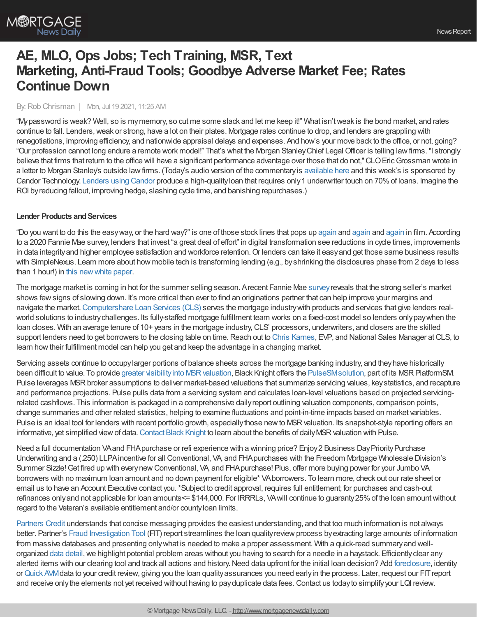# **AE, MLO, Ops Jobs; Tech Training, MSR, Text Marketing, Anti-Fraud Tools; Goodbye Adverse Market Fee; Rates Continue Down**

#### By:Rob Chrisman | Mon, Jul 19 2021, 11:25 AM

"Mypassword is weak? Well, so is mymemory, so cut me some slack and let me keep it!" What isn'tweak is the bond market, and rates continue to fall. Lenders, weak or strong, have a lot on their plates. Mortgage rates continue to drop, and lenders are grappling with renegotiations, improving efficiency, and nationwide appraisal delays and expenses. And how's your move back to the office, or not, going? "Our profession cannot long endure a remote work model!" That's what the Morgan StanleyChief Legal Officer is telling lawfirms."I strongly believe that firms that return to the office will have a significant performance advantage over those that do not,"CLOEricGrossman wrote in a letter to Morgan Stanley's outside lawfirms. (Today's audio version of the commentaryis [available](https://linktr.ee/dailymortgagenews) here and this week's is sponsored by Candor Technology. [Lenders](http://info.candortechnology.com/podcast-thought-leadership) using Candor produce a high-qualityloan that requires only1 underwriter touch on 70%of loans. Imagine the ROI byreducing fallout, improving hedge, slashing cycle time, and banishing repurchases.)

#### **Lender Products and Services**

"Do you want to do this the easyway, or the hard way?" is one of those stock lines that pops up [again](https://getyarn.io/yarn-clip/a2a24287-0d97-4d8d-b8d6-611fcf7f49d1) and again and again in film. According to a 2020 Fannie Mae survey, lenders that invest "a great deal of effort" in digital transformation see reductions in cycle times, improvements in data integrity and higher employee satisfaction and workforce retention. Or lenders can take it easy and get those same business results with SimpleNexus. Learn more about how mobile tech is transforming lending (e.g., byshrinking the disclosures phase from 2 days to less than 1 hour!) in this [newwhite](https://bit.ly/3hItKQV) paper.

The mortgage market is coming in hot for the summer selling season. Arecent Fannie Mae [survey](https://www.fanniemae.com/research-and-insights/surveys/national-housing-survey)reveals that the strong seller's market shows fewsigns of slowing down. It's more critical than ever to find an originations partner that can help improve your margins and navigate the market.[Computershare](https://www.computershareloanservices.com/us?utm_source=Chrisman&utm_medium=eNews&utm_campaign=CLS) Loan Services (CLS) serves the mortgage industrywith products and services that give lenders realworld solutions to industrychallenges. Its fully-staffed mortgage fulfillment team works on a fixed-cost model so lenders onlypaywhen the loan closes. With an average tenure of 10+ years in the mortgage industry, CLS' processors, underwriters, and closers are the skilled support lenders need to get borrowers to the closing table on time. Reach out to Chris [Karnes](https://www.linkedin.com/in/chris-karnes-4ab9bb42/), EVP, and National Sales Manager at CLS, to learn howtheir fulfillment model can help you get and keep the advantage in a changing market.

Servicing assets continue to occupy larger portions of balance sheets across the mortgage banking industry, and they have historically been difficult to value. To provide greater visibility into MSR valuation, Black Knight offers the PulseSM solution, part of its MSR PlatformSM. Pulse leverages MSR broker assumptions to deliver market-based valuations that summarize servicing values, key statistics, and recapture and performance projections. Pulse pulls data from a servicing system and calculates loan-level valuations based on projected servicingrelated cashflows. This information is packaged in a comprehensive dailyreport outlining valuation components, comparison points, change summaries and other related statistics, helping to examine fluctuations and point-in-time impacts based on market variables. Pulse is an ideal tool for lenders with recent portfolio growth, especially those new to MSR valuation. Its snapshot-style reporting offers an informative, yet simplified view of data. [Contact](https://engage.optimalblue.com/msr-valuation-and-analytics-request?utm_campaign=SMT_Compass_MSR%20Platform&utm_source=Chrisman&utm_medium=Text%20Ad) Black Knight to learn about the benefits of daily MSR valuation with Pulse.

Need a full documentation VAand FHA purchase or refi experience with a winning price? Enjoy 2 Business Day Priority Purchase Underwriting and a (.250) LLPAincentive for all Conventional, VA, and FHApurchases with the Freedom Mortgage Wholesale Division's Summer Sizzle! Get fired up with every new Conventional, VA, and FHA purchase! Plus, offer more buying power for your Jumbo VA borrowers with no maximum loan amount and no down payment for eligible\* VAborrowers. To learn more, check out our rate sheet or email us to have an Account Executive contact you.\*Subject to credit approval, requires full entitlement; for purchases and cash-out refinances onlyand not applicable for loan amounts<= \$144,000. For IRRRLs, VAwill continue to guaranty25%of the loan amountwithout regard to the Veteran's available entitlement and/or countyloan limits.

[Partners](http://www.partnerscredit.com/) Credit understands that concise messaging provides the easiest understanding, and that too much information is not always better. Partner's Fraud [Investigation](https://www.partnerscredit.com/documents/Partners_FIT.pdf) Tool (FIT) report streamlines the loan quality review process by extracting large amounts of information from massive databases and presenting onlywhat is needed to make a proper assessment. With a quick-read summaryand wellorganized data [detail](https://www.partnerscredit.com/documents/Partners_FIT_Data.pdf),we highlight potential problem areas without you having to search for a needle in a haystack. Efficientlyclear any alerted items with our clearing tool and track all actions and history. Need data upfront for the initial loan decision? Add [foreclosure,](https://www.partnerscredit.com/documents/Partners_Foreclosure_AddOn.pdf) identity or[Quick](https://www.partnerscredit.com/documents/Partners_CreditFlyer_QuickAVM_v3.a.pdf) AVMdata to your credit review, giving you the loan qualityassurances you need earlyin the process. Later, request our FITreport and receive onlythe elements not yet received without having to payduplicate data fees.Contact us todayto simplifyyour LQI review.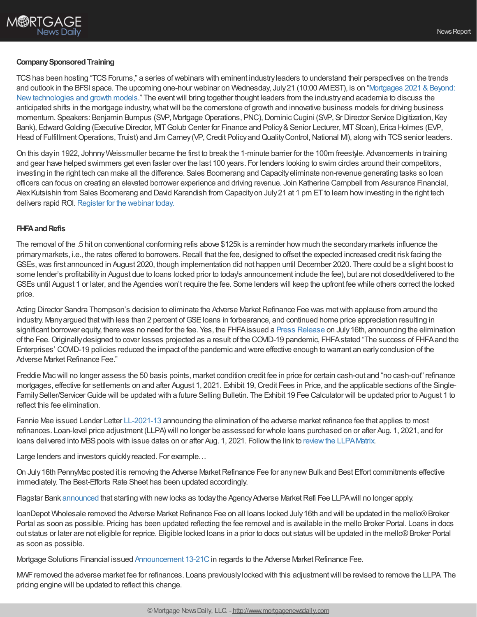# **Company Sponsored Training**

TCS has been hosting "TCS Forums," a series of webinars with eminent industry leaders to understand their perspectives on the trends and outlook in the BFSI space. The upcoming one-hour webinar on Wednesday, July 21 (10:00 AMEST), is on "Mortgages 2021 & Beyond: [Newtechnologies](https://event.on24.com/wcc/r/3263574/2C0D035717A843564F684EFE09070FC8?partnerref=external) and growth models." The eventwill bring together thought leaders from the industryand academia to discuss the anticipated shifts in the mortgage industry, what will be the cornerstone of growth and innovative business models for driving business momentum. Speakers: Benjamin Bumpus (SVP, Mortgage Operations, PNC), Dominic Cugini (SVP, Sr Director Service Digitization, Key Bank), Edward Golding (Executive Director, MT Golub Center for Finance and Policy & Senior Lecturer, MT Sloan), Erica Holmes (EVP, Head of Fulfillment Operations, Truist) and Jim Carney (VP, Credit Policy and Quality Control, National MI), along with TCS senior leaders.

On this dayin 1922, JohnnyWeissmuller became the first to break the 1-minute barrier for the 100m freestyle. Advancements in training and gear have helped swimmers get even faster over the last 100 years. For lenders looking to swim circles around their competitors, investing in the right tech can make all the difference. Sales Boomerang and Capacityeliminate non-revenue generating tasks so loan officers can focus on creating an elevated borrower experience and driving revenue. Join Katherine Campbell from Assurance Financial, Alex Kutsishin from Sales Boomerang and David Karandish from Capacity on July 21 at 1 pm ET to learn how investing in the right tech delivers rapid ROI. [Register](https://us06web.zoom.us/webinar/register/1616246485473/WN_yQNOJppQSZOKrUzocCylTg) for the webinar today.

# **FHFA and Refis**

The removal of the .5 hit on conventional conforming refis above \$125k is a reminder how much the secondarymarkets influence the primarymarkets, i.e., the rates offered to borrowers.Recall that the fee, designed to offset the expected increased credit risk facing the GSEs,was first announced in August 2020, though implementation did not happen until December 2020. There could be a slight boost to some lender's profitabilityin August due to loans locked prior to today's announcement include the fee), but are not closed/delivered to the GSEs until August 1 or later, and the Agencies won't require the fee. Some lenders will keep the upfront fee while others correct the locked price.

Acting Director Sandra Thompson's decision to eliminate the Adverse Market Refinance Fee was met with applause from around the industry. Many argued that with less than 2 percent of GSE loans in forbearance, and continued home price appreciation resulting in significant borrower equity, there was no need for the fee. Yes, the FHFA issued a Press [Release](https://www.fhfa.gov/Media/PublicAffairs/Pages/FHFA-Eliminates-Adverse-Market-Refinance-Fee.aspx) on July 16th, announcing the elimination of the Fee.Originallydesigned to cover losses projected as a result of the COVID-19 pandemic, FHFAstated "The success of FHFAand the Enterprises' COVID-19 policies reduced the impact of the pandemic and were effective enough to warrant an earlyconclusion of the Adverse Market Refinance Fee."

Freddie Macwill no longer assess the 50 basis points, market condition credit fee in price for certain cash-out and "no cash-out"refinance mortgages, effective for settlements on and after August 1, 2021. Exhibit 19, Credit Fees in Price, and the applicable sections of the Single-Family Seller/Servicer Guide will be updated with a future Selling Bulletin. The Exhibit 19 Fee Calculator will be updated prior to August 1 to reflect this fee elimination.

Fannie Mae issued Lender Letter [LL-2021-13](https://singlefamily.fanniemae.com/news-events/lender-letter-ll-2021-13-elimination-adverse-market-refinance-fee?utm_campaign=ppe-sf-ssn2021&utm_source=sfmc&utm_medium=email&utm_content=edu-eml-noa-eml07162021%20SSN-o-n&utm_term=b2b) announcing the elimination of the adverse market refinance fee that applies to most refinances. Loan-level price adjustment (LLPA) will no longer be assessed for whole loans purchased on or after Aug. 1, 2021, and for loans delivered into MBS pools with issue dates on or after Aug. 1, 2021. Follow the link to review the LLPA Matrix.

Large lenders and investors quickly reacted. For example...

On July 16th PennyMac posted it is removing the Adverse Market Refinance Fee for any new Bulk and Best Effort commitments effective immediately. The Best-Efforts Rate Sheet has been updated accordingly.

Flagstar Bank [announced](https://www.flagstar.com/content/dam/tpo/sellers-guide/announcements/21093.pdf) that starting with new locks as today the Agency Adverse Market Refi Fee LLPA will no longer apply.

loanDepot Wholesale removed the Adverse Market Refinance Fee on all loans locked July 16th and will be updated in the mello® Broker Portal as soon as possible. Pricing has been updated reflecting the fee removal and is available in the mello Broker Portal. Loans in docs out status or later are not eligible for reprice. Eligible locked loans in a prior to docs out status will be updated in the mello®Broker Portal as soon as possible.

Mortgage Solutions Financial issued [Announcement](https://na01.safelinks.protection.outlook.com/?url=https%253A%252F%252Fr20.rs6.net%252Ftn.jsp%253Ff%253D0010f80wW65B_j6FJu-iOmbkl1vBueYfwxrLViIP7rFhRvMJx9a6lOdRo67dA1YiQORQUS70ezMNSeeXFnpXrXUvmEkprk4rX1oXF1WgoyYJ5JGg1TKsNgExJ7u93HQvY6H_YL1jQxghpJteAJ-7hGOFaYuEjz-G6Hu2-ZG_EZ8ppY9b9ZKc219bVtrQ_XOLrxGJmtcBLeHQhpCL_IfaoclhFC9dXwDYihkUt6B2MfZy94%253D%2526c%253D6wYrHX4UPq3tCBvuW0L7CJ1S-Rb3I1ALvmNO1S0QJ66l5Z_Mx7oOCA%253D%253D%2526ch%253D_xtNY7-vS5Sw8b7fPJo4lOT3L2Y-tLZfBqmcvQ4riWvEF7f_dGkVSQ%253D%253D&data=04%257C01%257C%257Cf7d7966026074809955f08d9487f311f%257C84df9e7fe9f640afb435aaaaaaaaaaaa%257C1%257C0%257C637620533412136866%257CUnknown%257CTWFpbGZsb3d8eyJWIjoiMC4wLjAwMDAiLCJQIjoiV2luMzIiLCJBTiI6Ik1haWwiLCJXVCI6Mn0%253D%257C1000&sdata=Pl0Hmd4DyWwhDdj%252F07wpdIos8u7HrnwDZYUkorlvaF0%253D&reserved=0) 13-21C in regards to the Adverse Market Refinance Fee.

MWF removed the adverse market fee for refinances. Loans previously locked with this adjustment will be revised to remove the LLPA. The pricing engine will be updated to reflect this change.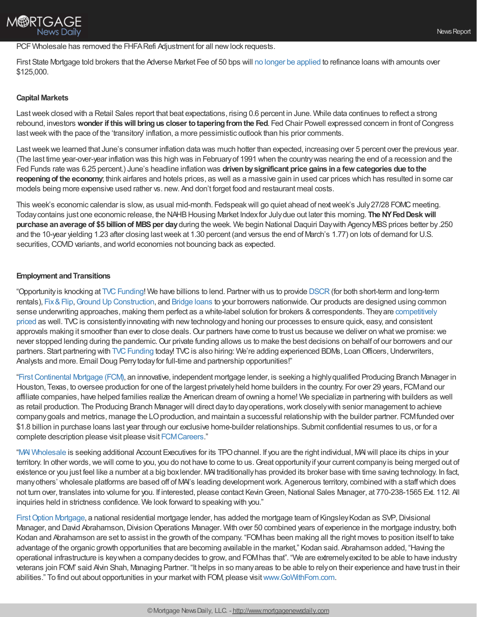# M®RTGAGE News Daily

# PCF Wholesale has removed the FHFA Refi Adjustment for all new lock requests.

First State Mortgage told brokers that the Adverse Market Fee of 50 bps will no longer be [applied](https://fsmloans.biz/Seller%20Guide/Announcements/2021/MCPA--21-022.pdf) to refinance loans with amounts over \$125,000.

### **Capital Markets**

Lastweek closed with a Retail Sales report that beat expectations, rising 0.6 percent in June. While data continues to reflect a strong rebound, investors **wonder if thiswill bringus closer totaperingfromthe Fed**. Fed Chair Powell expressed concern in front ofCongress last week with the pace of the 'transitory' inflation, a more pessimistic outlook than his prior comments.

Last week we learned that June's consumer inflation data was much hotter than expected, increasing over 5 percent over the previous year. (The last time year-over-year inflation was this high was in Februaryof 1991 when the countrywas nearing the end of a recession and the Fed Funds rate was 6.25 percent.) June's headline inflation was **drivenbysignificant price gains ina few categories due tothe reopeningof the economy**; think airfares and hotels prices, as well as a massive gain in used car prices which has resulted in some car models being more expensive used rather vs. new. And don't forget food and restaurant meal costs.

This week's economic calendar is slow, as usual mid-month. Fedspeak will go quiet ahead of next week's July 27/28 FOMC meeting. Today contains just one economic release, the NAHB Housing Market Index for July due out later this morning. The NY Fed Desk will **purchase an average of \$5 billion of MBS per day** during the week. We begin National Daquiri Day with Agency MBS prices better by.250 and the 10-year yielding 1.23 after closing lastweek at 1.30 percent (and versus the end of March's 1.77) on lots of demand for U.S. securities, COVID variants, and world economies not bouncing back as expected.

### **Employment and Transitions**

"Opportunity is knocking at TVC Funding! We have billions to lend. Partner with us to provide [DSCR](https://www.tvcfunding.com/programs/dscr) (for both short-term and long-term rentals), Fix & Flip, Ground Up [Construction](https://www.tvcfunding.com/programs/ground-up-construction), and [Bridge](https://www.tvcfunding.com/programs/bridge-loans) loans to your borrowers nationwide. Our products are designed using common sense underwriting approaches, making them perfect as a white-label solution for brokers & correspondents. They are competitively priced as well. TVC is consistently innovating with new technology and honing our processes to ensure quick, easy, and consistent approvals making it smoother than ever to close deals. Our partners have come to trust us because we deliver on what we promise: we never stopped lending during the pandemic. Our private funding allows us to make the best decisions on behalf of our borrowers and our partners. Start partnering with TVC Funding today! TVC is also hiring: We're adding experienced BDMs, Loan Officers, Underwriters, Analysts and more. Email Doug Perrytodayfor full-time and partnership opportunities!"

["FirstContinental](https://www.firstcontinentalmtg.com/) Mortgage (FCM), an innovative, independent mortgage lender, is seeking a highlyqualified Producing Branch Manager in Houston, Texas, to oversee production for one of the largest privatelyheld home builders in the country. For over 29 years, FCMand our affiliate companies, have helped families realize the American dream of owning a home! We specialize in partnering with builders as well as retail production. The Producing Branch Manager will direct dayto dayoperations,work closelywith senior management to achieve companygoals and metrics, manage the LOproduction, and maintain a successful relationship with the builder partner. FCMfunded over \$1.8 billion in purchase loans last year through our exclusive home-builder relationships. Submit confidential resumes to us, or for a complete description please visit please visit [FCMCareers.](https://fcmchou.applicantpro.com/jobs/1885772.html)"

"MAI [Wholesale](https://www.maibroker.com/) is seeking additional Account Executives for its TPOchannel. If you are the right individual, MAIwill place its chips in your territory. In other words, we will come to you, you do not have to come to us. Great opportunity if your current company is being merged out of existence or you just feel like a number at a big boxlender. MAI traditionallyhas provided its broker base with time saving technology. In fact, manyothers' wholesale platforms are based off of MAI's leading developmentwork. Agenerous territory, combined with a staffwhich does not turn over, translates into volume for you. If interested, please contact Kevin Green, National Sales Manager, at 770-238-1565 Ext. 112. All inquiries held in strictness confidence. We look forward to speaking with you."

First Option Mortgage, a national residential mortgage lender, has added the mortgage team of Kingsley Kodan as SVP, Divisional Manager, and David Abrahamson, Division Operations Manager. With over 50 combined years of experience in the mortgage industry, both Kodan and Abrahamson are set to assist in the growth of the company. "FOMhas been making all the right moves to position itself to take advantage of the organic growth opportunities that are becoming available in the market," Kodan said. Abrahamson added, "Having the operational infrastructure is keywhen a companydecides to grow, and FOMhas that". "We are extremelyexcited to be able to have industry veterans join FOM" said Alvin Shah, Managing Partner. "It helps in so manyareas to be able to relyon their experience and have trust in their abilities." To find out about opportunities in your marketwith FOM, please visit[www.GoWithFom.com.](http://www.gowithfom.com/)